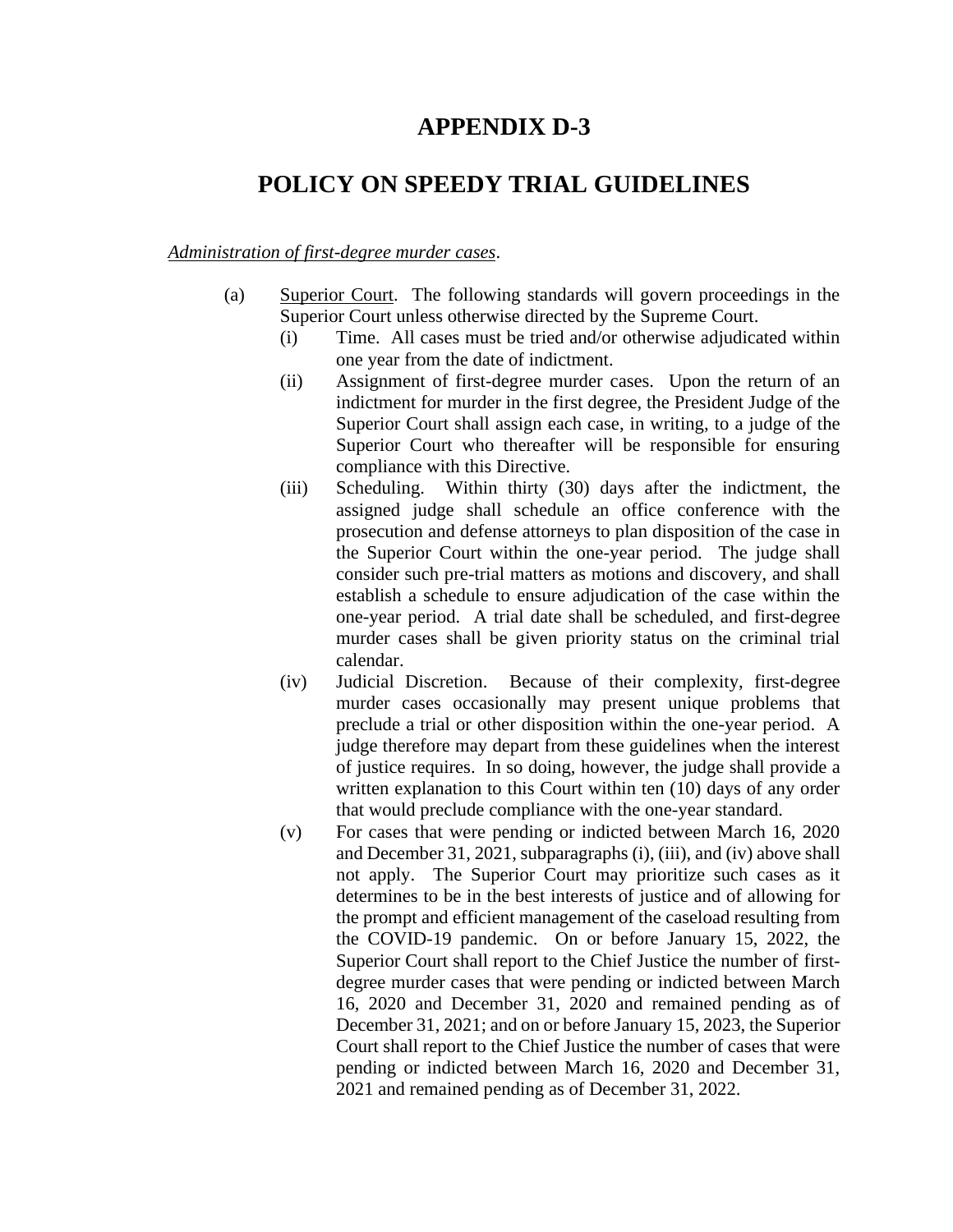## **APPENDIX D-3**

## **POLICY ON SPEEDY TRIAL GUIDELINES**

## *Administration of first-degree murder cases*.

- (a) Superior Court. The following standards will govern proceedings in the Superior Court unless otherwise directed by the Supreme Court.
	- (i) Time. All cases must be tried and/or otherwise adjudicated within one year from the date of indictment.
	- (ii) Assignment of first-degree murder cases. Upon the return of an indictment for murder in the first degree, the President Judge of the Superior Court shall assign each case, in writing, to a judge of the Superior Court who thereafter will be responsible for ensuring compliance with this Directive.
	- (iii) Scheduling. Within thirty (30) days after the indictment, the assigned judge shall schedule an office conference with the prosecution and defense attorneys to plan disposition of the case in the Superior Court within the one-year period. The judge shall consider such pre-trial matters as motions and discovery, and shall establish a schedule to ensure adjudication of the case within the one-year period. A trial date shall be scheduled, and first-degree murder cases shall be given priority status on the criminal trial calendar.
	- (iv) Judicial Discretion. Because of their complexity, first-degree murder cases occasionally may present unique problems that preclude a trial or other disposition within the one-year period. A judge therefore may depart from these guidelines when the interest of justice requires. In so doing, however, the judge shall provide a written explanation to this Court within ten (10) days of any order that would preclude compliance with the one-year standard.
	- (v) For cases that were pending or indicted between March 16, 2020 and December 31, 2021, subparagraphs (i), (iii), and (iv) above shall not apply. The Superior Court may prioritize such cases as it determines to be in the best interests of justice and of allowing for the prompt and efficient management of the caseload resulting from the COVID-19 pandemic. On or before January 15, 2022, the Superior Court shall report to the Chief Justice the number of firstdegree murder cases that were pending or indicted between March 16, 2020 and December 31, 2020 and remained pending as of December 31, 2021; and on or before January 15, 2023, the Superior Court shall report to the Chief Justice the number of cases that were pending or indicted between March 16, 2020 and December 31, 2021 and remained pending as of December 31, 2022.